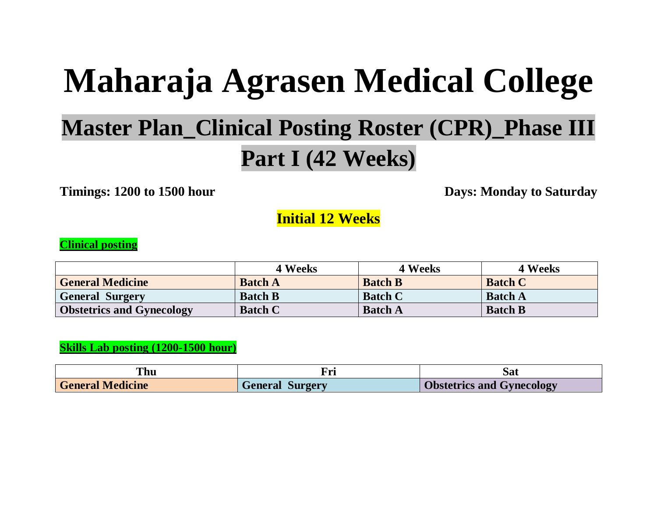# **Maharaja Agrasen Medical College**

# **Master Plan\_Clinical Posting Roster (CPR)\_Phase III Part I (42 Weeks)**

**Timings: 1200 to 1500 hour** Days: Monday to Saturday

**Initial 12 Weeks**

#### **Clinical posting**

|                                  | 4 Weeks        | <b>4 Weeks</b> | 4 Weeks        |
|----------------------------------|----------------|----------------|----------------|
| <b>General Medicine</b>          | <b>Batch A</b> | <b>Batch B</b> | <b>Batch C</b> |
| <b>General Surgery</b>           | <b>Batch B</b> | <b>Batch C</b> | <b>Batch A</b> |
| <b>Obstetrics and Gynecology</b> | <b>Batch C</b> | <b>Batch A</b> | <b>Batch B</b> |

#### **Skills Lab posting (1200-1500 hour)**

| ſhu                     |                        | Sat                              |
|-------------------------|------------------------|----------------------------------|
| <b>General Medicine</b> | <b>General Surgery</b> | <b>Obstetrics and Gynecology</b> |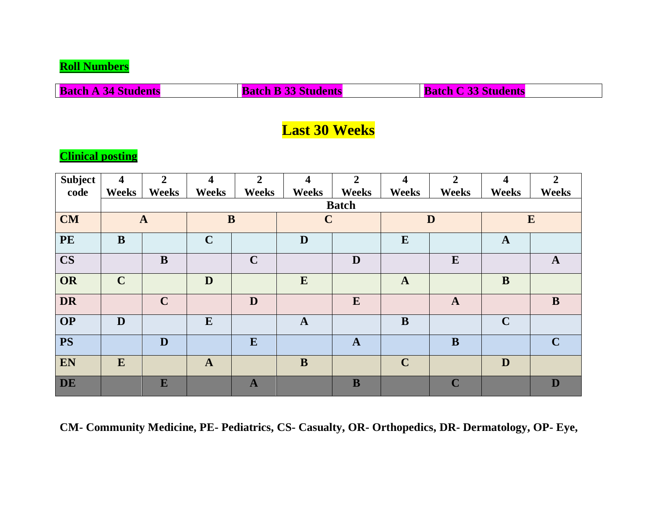#### **Roll Numbers**

**Batch A 34 Students Batch B 33 Students Batch C 33 Students** 

## **Last 30 Weeks**

#### **Clinical posting**

| <b>Subject</b> | $\overline{\mathbf{4}}$ | $\overline{2}$ | $\overline{\mathbf{4}}$ | $\overline{2}$ | $\overline{\mathbf{4}}$ | $\overline{2}$ | $\overline{\mathbf{4}}$ | $\overline{2}$ | $\overline{\mathbf{4}}$ | $\overline{2}$ |
|----------------|-------------------------|----------------|-------------------------|----------------|-------------------------|----------------|-------------------------|----------------|-------------------------|----------------|
| code           | <b>Weeks</b>            | <b>Weeks</b>   | <b>Weeks</b>            | <b>Weeks</b>   | <b>Weeks</b>            | <b>Weeks</b>   | Weeks                   | <b>Weeks</b>   | <b>Weeks</b>            | Weeks          |
|                | <b>Batch</b>            |                |                         |                |                         |                |                         |                |                         |                |
| <b>CM</b>      |                         | $\mathbf{A}$   | $\bf{B}$                |                | $\mathbf C$             |                |                         | D              |                         | $\mathbf{E}$   |
| <b>PE</b>      | B                       |                | $\mathbf C$             |                | D                       |                | E                       |                | $\mathbf{A}$            |                |
| $\mathbf{CS}$  |                         | $\bf{B}$       |                         | $\mathbf C$    |                         | D              |                         | $\bf{E}$       |                         | $\mathbf{A}$   |
| OR             | $\mathbf C$             |                | D                       |                | E                       |                | $\mathbf{A}$            |                | $\bf{B}$                |                |
| <b>DR</b>      |                         | $\mathbf C$    |                         | D              |                         | E              |                         | $\mathbf{A}$   |                         | B              |
| <b>OP</b>      | D                       |                | ${\bf E}$               |                | $\mathbf{A}$            |                | $\bf{B}$                |                | $\mathbf C$             |                |
| <b>PS</b>      |                         | D              |                         | E              |                         | $\mathbf{A}$   |                         | $\bf{B}$       |                         | $\mathbf C$    |
| EN             | E                       |                | $\mathbf{A}$            |                | B                       |                | $\mathbf C$             |                | D                       |                |
| DE             |                         | E              |                         | $\mathbf{A}$   |                         | $\bf{B}$       |                         | $\mathbf C$    |                         | D              |

**CM- Community Medicine, PE- Pediatrics, CS- Casualty, OR- Orthopedics, DR- Dermatology, OP- Eye,**